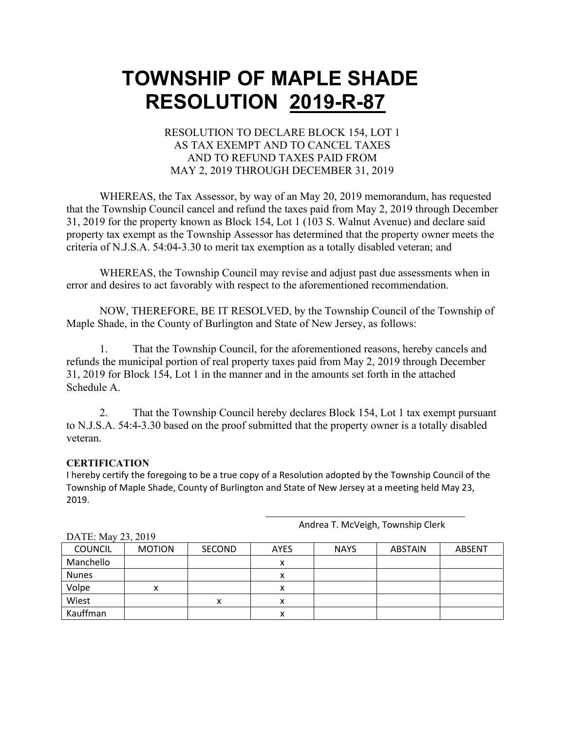#### RESOLUTION TO DECLARE BLOCK 154, LOT 1 AS TAX EXEMPT AND TO CANCEL TAXES AND TO REFUND TAXES PAID FROM MAY 2, 2019 THROUGH DECEMBER 31, 2019

WHEREAS, the Tax Assessor, by way of an May 20, 2019 memorandum, has requested that the Township Council cancel and refund the taxes paid from May 2, 2019 through December 31, 2019 for the property known as Block 154, Lot 1 (103 S. Walnut Avenue) and declare said property tax exempt as the Township Assessor has determined that the property owner meets the criteria of N.J.S.A. 54:04-3.30 to merit tax exemption as a totally disabled veteran; and

WHEREAS, the Township Council may revise and adjust past due assessments when in error and desires to act favorably with respect to the aforementioned recommendation.

NOW, THEREFORE, BE IT RESOLVED, by the Township Council of the Township of Maple Shade, in the County of Burlington and State of New Jersey, as follows:

1. That the Township Council, for the aforementioned reasons, hereby cancels and refunds the municipal portion of real property taxes paid from May 2, 2019 through December 31, 2019 for Block 154, Lot 1 in the manner and in the amounts set forth in the attached Schedule A.

2. That the Township Council hereby declares Block 154, Lot 1 tax exempt pursuant to N.J.S.A. 54:4-3.30 based on the proof submitted that the property owner is a totally disabled veteran.

#### **CERTIFICATION**

I hereby certify the foregoing to be a true copy of a Resolution adopted by the Township Council of the Township of Maple Shade, County of Burlington and State of New Jersey at a meeting held May 23, 2019.

Andrea T. McVeigh, Township Clerk

| DATE: May 23, 2019 |               |               |             |             |                |               |  |  |  |
|--------------------|---------------|---------------|-------------|-------------|----------------|---------------|--|--|--|
| <b>COUNCIL</b>     | <b>MOTION</b> | <b>SECOND</b> | <b>AYES</b> | <b>NAYS</b> | <b>ABSTAIN</b> | <b>ABSENT</b> |  |  |  |
| Manchello          |               |               | х           |             |                |               |  |  |  |
| <b>Nunes</b>       |               |               | Λ           |             |                |               |  |  |  |
| Volpe              | x             |               | x           |             |                |               |  |  |  |
| Wiest              |               | v             | ⋏           |             |                |               |  |  |  |
| Kauffman           |               |               | х           |             |                |               |  |  |  |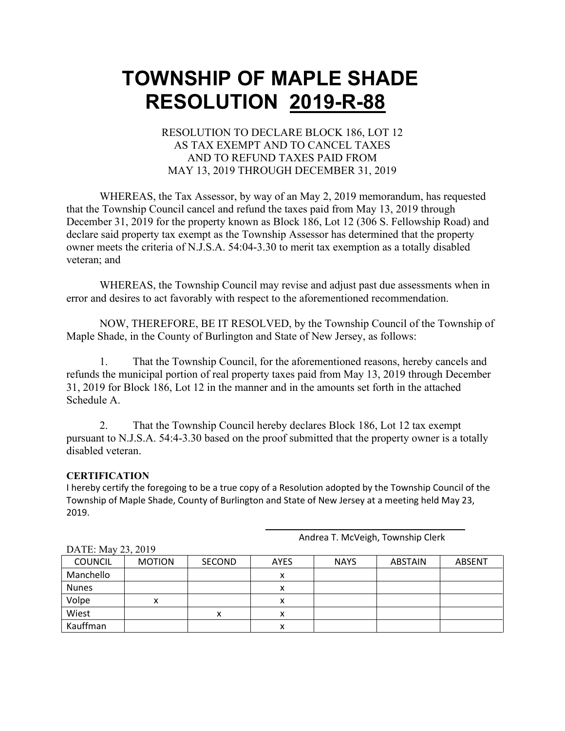#### RESOLUTION TO DECLARE BLOCK 186, LOT 12 AS TAX EXEMPT AND TO CANCEL TAXES AND TO REFUND TAXES PAID FROM MAY 13, 2019 THROUGH DECEMBER 31, 2019

WHEREAS, the Tax Assessor, by way of an May 2, 2019 memorandum, has requested that the Township Council cancel and refund the taxes paid from May 13, 2019 through December 31, 2019 for the property known as Block 186, Lot 12 (306 S. Fellowship Road) and declare said property tax exempt as the Township Assessor has determined that the property owner meets the criteria of N.J.S.A. 54:04-3.30 to merit tax exemption as a totally disabled veteran; and

WHEREAS, the Township Council may revise and adjust past due assessments when in error and desires to act favorably with respect to the aforementioned recommendation.

NOW, THEREFORE, BE IT RESOLVED, by the Township Council of the Township of Maple Shade, in the County of Burlington and State of New Jersey, as follows:

1. That the Township Council, for the aforementioned reasons, hereby cancels and refunds the municipal portion of real property taxes paid from May 13, 2019 through December 31, 2019 for Block 186, Lot 12 in the manner and in the amounts set forth in the attached Schedule A.

2. That the Township Council hereby declares Block 186, Lot 12 tax exempt pursuant to N.J.S.A. 54:4-3.30 based on the proof submitted that the property owner is a totally disabled veteran.

#### **CERTIFICATION**

I hereby certify the foregoing to be a true copy of a Resolution adopted by the Township Council of the Township of Maple Shade, County of Burlington and State of New Jersey at a meeting held May 23, 2019.

| DATE: May 23, 2019 |               |               |             |             |         |        |  |  |  |
|--------------------|---------------|---------------|-------------|-------------|---------|--------|--|--|--|
| <b>COUNCIL</b>     | <b>MOTION</b> | <b>SECOND</b> | <b>AYES</b> | <b>NAYS</b> | ABSTAIN | ABSENT |  |  |  |
| Manchello          |               |               | х           |             |         |        |  |  |  |
| <b>Nunes</b>       |               |               | х           |             |         |        |  |  |  |
| Volpe              |               |               | х           |             |         |        |  |  |  |
| Wiest              |               | x             | х           |             |         |        |  |  |  |
| Kauffman           |               |               | ⋏           |             |         |        |  |  |  |

Andrea T. McVeigh, Township Clerk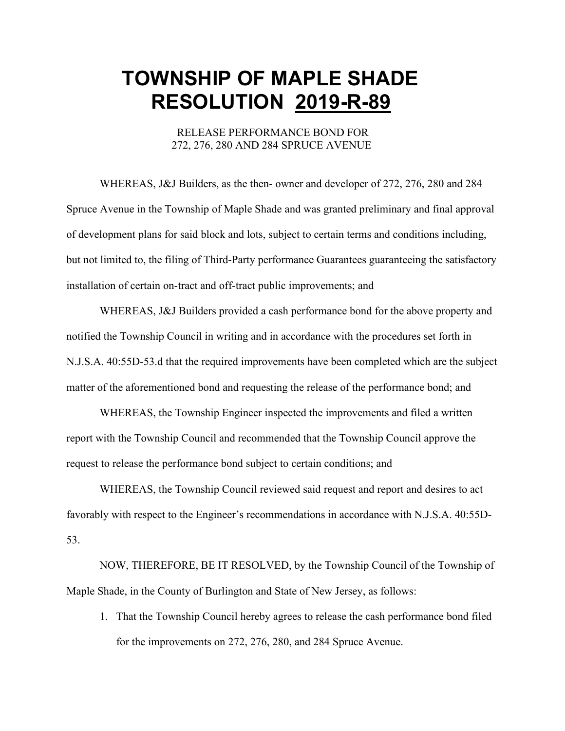RELEASE PERFORMANCE BOND FOR 272, 276, 280 AND 284 SPRUCE AVENUE

WHEREAS, J&J Builders, as the then- owner and developer of 272, 276, 280 and 284 Spruce Avenue in the Township of Maple Shade and was granted preliminary and final approval of development plans for said block and lots, subject to certain terms and conditions including, but not limited to, the filing of Third-Party performance Guarantees guaranteeing the satisfactory installation of certain on-tract and off-tract public improvements; and

WHEREAS, J&J Builders provided a cash performance bond for the above property and notified the Township Council in writing and in accordance with the procedures set forth in N.J.S.A. 40:55D-53.d that the required improvements have been completed which are the subject matter of the aforementioned bond and requesting the release of the performance bond; and

WHEREAS, the Township Engineer inspected the improvements and filed a written report with the Township Council and recommended that the Township Council approve the request to release the performance bond subject to certain conditions; and

WHEREAS, the Township Council reviewed said request and report and desires to act favorably with respect to the Engineer's recommendations in accordance with N.J.S.A. 40:55D-53.

NOW, THEREFORE, BE IT RESOLVED, by the Township Council of the Township of Maple Shade, in the County of Burlington and State of New Jersey, as follows:

1. That the Township Council hereby agrees to release the cash performance bond filed for the improvements on 272, 276, 280, and 284 Spruce Avenue.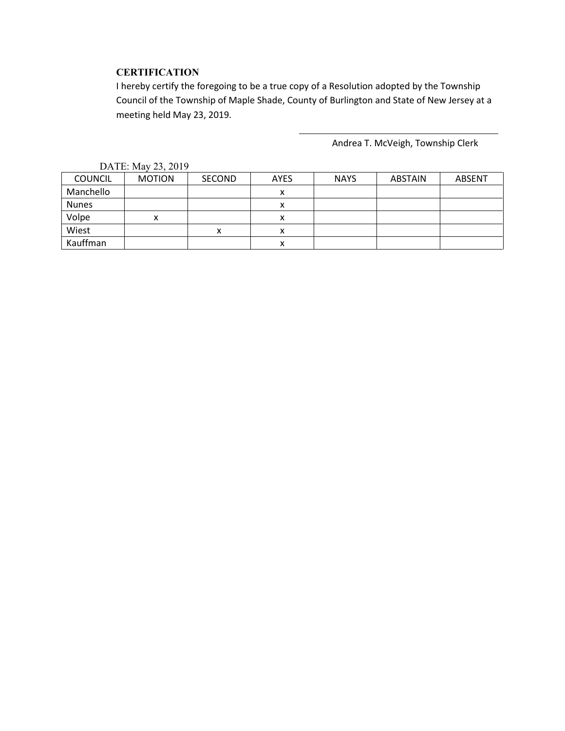#### **CERTIFICATION**

I hereby certify the foregoing to be a true copy of a Resolution adopted by the Township Council of the Township of Maple Shade, County of Burlington and State of New Jersey at a meeting held May 23, 2019.

Andrea T. McVeigh, Township Clerk

| $P1$ , $P2$ , $P3$ , $P4$ |               |               |             |             |                |               |  |  |
|---------------------------|---------------|---------------|-------------|-------------|----------------|---------------|--|--|
| <b>COUNCIL</b>            | <b>MOTION</b> | <b>SECOND</b> | <b>AYES</b> | <b>NAYS</b> | <b>ABSTAIN</b> | <b>ABSENT</b> |  |  |
| Manchello                 |               |               |             |             |                |               |  |  |
| <b>Nunes</b>              |               |               |             |             |                |               |  |  |
| Volpe                     |               |               |             |             |                |               |  |  |
| Wiest                     |               | x             | х           |             |                |               |  |  |
| Kauffman                  |               |               | ́           |             |                |               |  |  |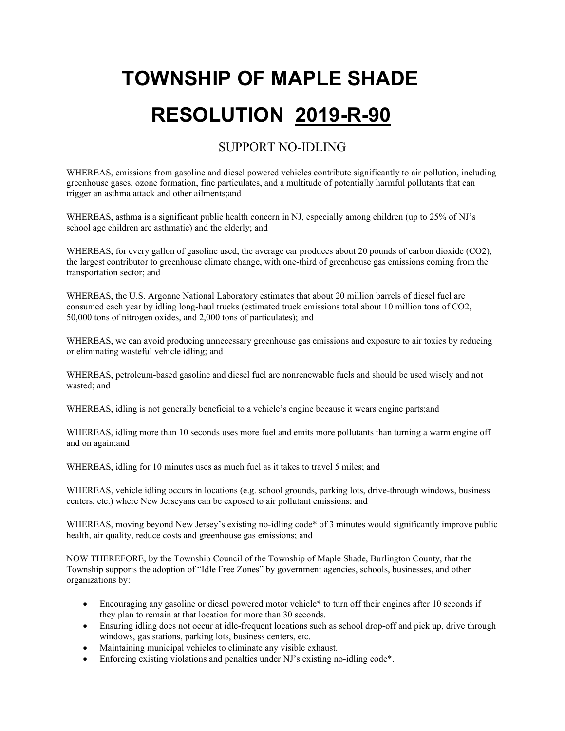#### SUPPORT NO-IDLING

WHEREAS, emissions from gasoline and diesel powered vehicles contribute significantly to air pollution, including greenhouse gases, ozone formation, fine particulates, and a multitude of potentially harmful pollutants that can trigger an asthma attack and other ailments;and

WHEREAS, asthma is a significant public health concern in NJ, especially among children (up to 25% of NJ's school age children are asthmatic) and the elderly; and

WHEREAS, for every gallon of gasoline used, the average car produces about 20 pounds of carbon dioxide (CO2), the largest contributor to greenhouse climate change, with one-third of greenhouse gas emissions coming from the transportation sector; and

WHEREAS, the U.S. Argonne National Laboratory estimates that about 20 million barrels of diesel fuel are consumed each year by idling long-haul trucks (estimated truck emissions total about 10 million tons of CO2, 50,000 tons of nitrogen oxides, and 2,000 tons of particulates); and

WHEREAS, we can avoid producing unnecessary greenhouse gas emissions and exposure to air toxics by reducing or eliminating wasteful vehicle idling; and

WHEREAS, petroleum-based gasoline and diesel fuel are nonrenewable fuels and should be used wisely and not wasted; and

WHEREAS, idling is not generally beneficial to a vehicle's engine because it wears engine parts;and

WHEREAS, idling more than 10 seconds uses more fuel and emits more pollutants than turning a warm engine off and on again;and

WHEREAS, idling for 10 minutes uses as much fuel as it takes to travel 5 miles; and

WHEREAS, vehicle idling occurs in locations (e.g. school grounds, parking lots, drive-through windows, business centers, etc.) where New Jerseyans can be exposed to air pollutant emissions; and

WHEREAS, moving beyond New Jersey's existing no-idling code\* of 3 minutes would significantly improve public health, air quality, reduce costs and greenhouse gas emissions; and

NOW THEREFORE, by the Township Council of the Township of Maple Shade, Burlington County, that the Township supports the adoption of "Idle Free Zones" by government agencies, schools, businesses, and other organizations by:

- Encouraging any gasoline or diesel powered motor vehicle<sup>\*</sup> to turn off their engines after 10 seconds if they plan to remain at that location for more than 30 seconds.
- Ensuring idling does not occur at idle-frequent locations such as school drop-off and pick up, drive through windows, gas stations, parking lots, business centers, etc.
- Maintaining municipal vehicles to eliminate any visible exhaust.
- Enforcing existing violations and penalties under NJ's existing no-idling code\*.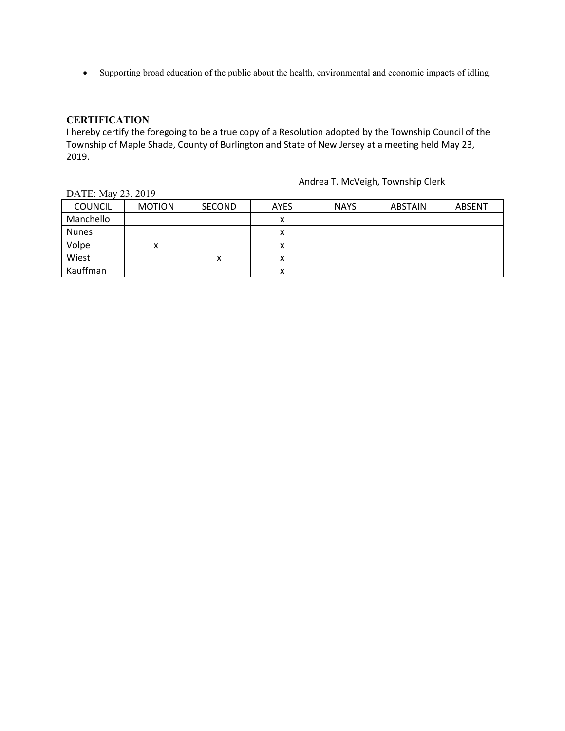• Supporting broad education of the public about the health, environmental and economic impacts of idling.

#### **CERTIFICATION**

I hereby certify the foregoing to be a true copy of a Resolution adopted by the Township Council of the Township of Maple Shade, County of Burlington and State of New Jersey at a meeting held May 23, 2019.

Andrea T. McVeigh, Township Clerk

| P111P11        |               |        |             |             |         |               |  |  |
|----------------|---------------|--------|-------------|-------------|---------|---------------|--|--|
| <b>COUNCIL</b> | <b>MOTION</b> | SECOND | <b>AYES</b> | <b>NAYS</b> | ABSTAIN | <b>ABSENT</b> |  |  |
| Manchello      |               |        |             |             |         |               |  |  |
| <b>Nunes</b>   |               |        |             |             |         |               |  |  |
| Volpe          |               |        |             |             |         |               |  |  |
| Wiest          |               | х      | л           |             |         |               |  |  |
| Kauffman       |               |        | л           |             |         |               |  |  |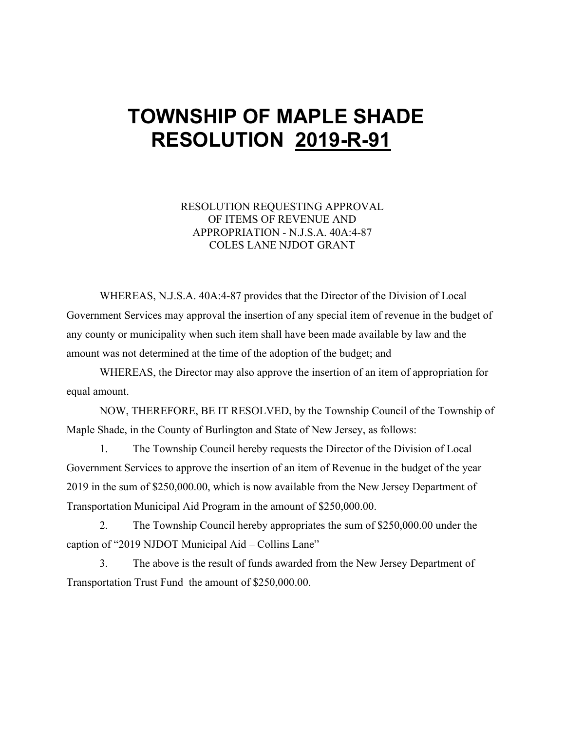#### RESOLUTION REQUESTING APPROVAL OF ITEMS OF REVENUE AND APPROPRIATION - N.J.S.A. 40A:4-87 COLES LANE NJDOT GRANT

WHEREAS, N.J.S.A. 40A:4-87 provides that the Director of the Division of Local Government Services may approval the insertion of any special item of revenue in the budget of any county or municipality when such item shall have been made available by law and the amount was not determined at the time of the adoption of the budget; and

WHEREAS, the Director may also approve the insertion of an item of appropriation for equal amount.

NOW, THEREFORE, BE IT RESOLVED, by the Township Council of the Township of Maple Shade, in the County of Burlington and State of New Jersey, as follows:

1. The Township Council hereby requests the Director of the Division of Local Government Services to approve the insertion of an item of Revenue in the budget of the year 2019 in the sum of \$250,000.00, which is now available from the New Jersey Department of Transportation Municipal Aid Program in the amount of \$250,000.00.

2. The Township Council hereby appropriates the sum of \$250,000.00 under the caption of "2019 NJDOT Municipal Aid – Collins Lane"

3. The above is the result of funds awarded from the New Jersey Department of Transportation Trust Fund the amount of \$250,000.00.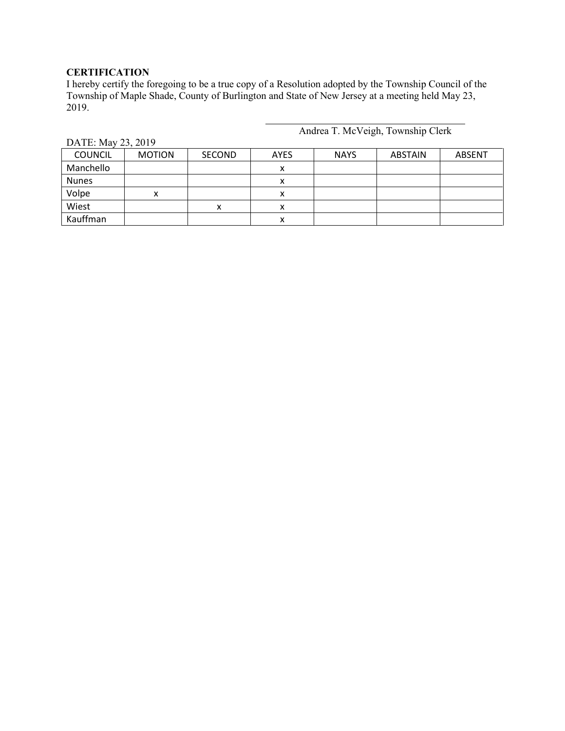#### **CERTIFICATION**

I hereby certify the foregoing to be a true copy of a Resolution adopted by the Township Council of the Township of Maple Shade, County of Burlington and State of New Jersey at a meeting held May 23, 2019.

Andrea T. McVeigh, Township Clerk

| $P_{11111}$ . 1914, $E_{22}$ , $E_{012}$ |               |               |             |             |         |               |  |  |  |
|------------------------------------------|---------------|---------------|-------------|-------------|---------|---------------|--|--|--|
| <b>COUNCIL</b>                           | <b>MOTION</b> | <b>SECOND</b> | <b>AYES</b> | <b>NAYS</b> | ABSTAIN | <b>ABSENT</b> |  |  |  |
| Manchello                                |               |               |             |             |         |               |  |  |  |
| <b>Nunes</b>                             |               |               |             |             |         |               |  |  |  |
| Volpe                                    |               |               |             |             |         |               |  |  |  |
| Wiest                                    |               | v<br>⋏        |             |             |         |               |  |  |  |
| Kauffman                                 |               |               |             |             |         |               |  |  |  |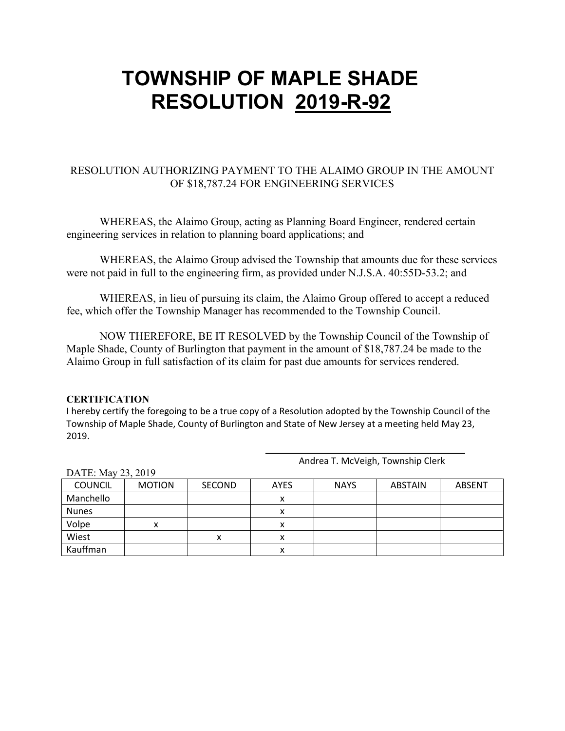#### RESOLUTION AUTHORIZING PAYMENT TO THE ALAIMO GROUP IN THE AMOUNT OF \$18,787.24 FOR ENGINEERING SERVICES

WHEREAS, the Alaimo Group, acting as Planning Board Engineer, rendered certain engineering services in relation to planning board applications; and

WHEREAS, the Alaimo Group advised the Township that amounts due for these services were not paid in full to the engineering firm, as provided under N.J.S.A. 40:55D-53.2; and

WHEREAS, in lieu of pursuing its claim, the Alaimo Group offered to accept a reduced fee, which offer the Township Manager has recommended to the Township Council.

NOW THEREFORE, BE IT RESOLVED by the Township Council of the Township of Maple Shade, County of Burlington that payment in the amount of \$18,787.24 be made to the Alaimo Group in full satisfaction of its claim for past due amounts for services rendered.

#### **CERTIFICATION**

I hereby certify the foregoing to be a true copy of a Resolution adopted by the Township Council of the Township of Maple Shade, County of Burlington and State of New Jersey at a meeting held May 23, 2019.

| DATE: May $23, 2019$ |  |  |  |  |  |  |  |  |  |
|----------------------|--|--|--|--|--|--|--|--|--|
| <b>ABSENT</b>        |  |  |  |  |  |  |  |  |  |
|                      |  |  |  |  |  |  |  |  |  |
|                      |  |  |  |  |  |  |  |  |  |
|                      |  |  |  |  |  |  |  |  |  |
|                      |  |  |  |  |  |  |  |  |  |
|                      |  |  |  |  |  |  |  |  |  |
|                      |  |  |  |  |  |  |  |  |  |

Andrea T. McVeigh, Township Clerk